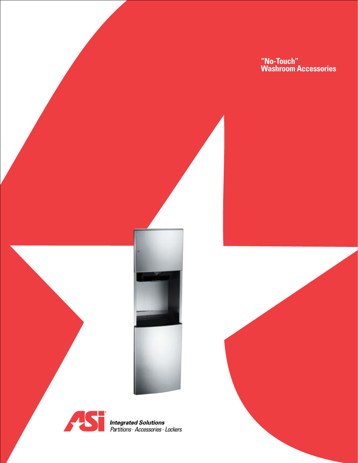**"No-Touch" Washroom Accessories**





*Partitions . Accessories . Lockers*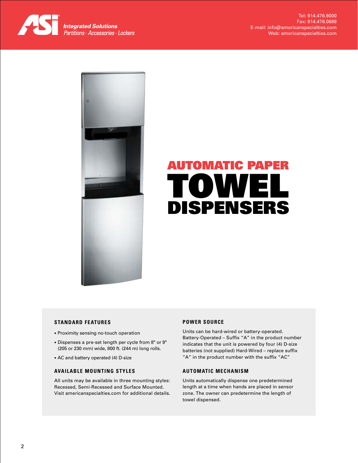



# Automatic Paper Towel **DISPENSERS**

## **Standard Features**

- Proximity sensing no-touch operation
- Dispenses a pre-set length per cycle from 8" or 9" (205 or 230 mm) wide, 800 ft. (244 m) long rolls.
- AC and battery operated (4) D-size

## **Available Mounting Styles**

All units may be available in three mounting styles: Recessed, Semi-Recessed and Surface Mounted. Visit americanspecialties.com for additional details.

## **POWER SOURCE**

Units can be hard-wired or battery-operated. Battery-Operated – Suffix "A" in the product number indicates that the unit is powered by four (4) D-size batteries (not supplied) Hard-Wired – replace suffix "A" in the product number with the suffix "AC"

## **AUTOMATIC MECHANISM**

Units automatically dispense one predetermined length at a time when hands are placed in sensor zone. The owner can predetermine the length of towel dispensed.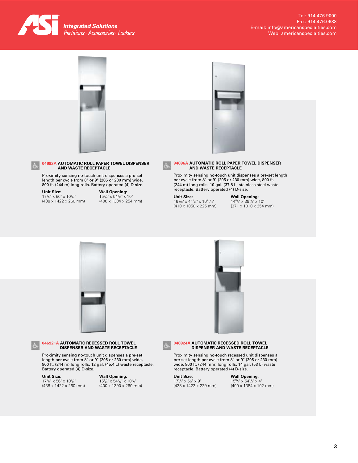



## **04692A AUTOMATIC ROLL PAPER TOWEL DISPENSER AND WASTE RECEPTACLE**

Proximity sensing no-touch unit dispenses a pre-set length per cycle from 8" or 9" (205 or 230 mm) wide, 800 ft. (244 m) long rolls. Battery operated (4) D-size.

## **Unit Size:**<br>17<sup>1</sup>/4" × 56" × 10<sup>1</sup>/4"

(438 x 1422 x 260 mm)

### **Wall Opening:**  $15^{3}/_{4}$ " x  $54^{1}/_{2}$ " x  $10$ "

(400 x 1384 x 254 mm)



#### **94696A AUTOMATIC ROLL PAPER TOWEL DISPENSER AND WASTE RECEPTACLE**

Proximity sensing no-touch unit dispenses a pre-set length per cycle from 8" or 9" (205 or 230 mm) wide, 800 ft. (244 m) long rolls. 10 gal. (37.8 L) stainless steel waste receptacle. Battery operated (4) D-size.

**Unit Size:**   $16\frac{1}{16}$  x 41 $\frac{1}{4}$  x 10<sup>11</sup>/<sub>16</sub><sup>"</sup> (410 x 1050 x 225 mm) **Wall Opening:**<br>14½" x 39¾" x 10" (371 x 1010 x 254 mm)



**046921A AUTOMATIC RECESSED ROLL TOWEL DISPENSER AND WASTE RECEPTACLE**

Proximity sensing no-touch unit dispenses a pre-set length per cycle from 8" or 9" (205 or 230 mm) wide, 800 ft. (244 m) long rolls. 12 gal. (45.4 L) waste receptacle. Battery operated (4) D-size.

## **Unit Size:**

 $\overline{3}$ 

 $17^{1}/_{4}$ " x 56" x 10<sup>1</sup>/<sub>4</sub>" (438 x 1422 x 260 mm)

## **Wall Opening:**  $15\frac{3}{4}$ " x  $54\frac{1}{2}$ " x  $10\frac{1}{4}$ "

(400 x 1390 x 260 mm)



## **046924A AUTOMATIC RECESSED ROLL TOWEL DISPENSER AND WASTE RECEPTACLE**

Proximity sensing no-touch recessed unit dispenses a pre-set length per cycle from 8" or 9" (205 or 230 mm) wide, 800 ft. (244 mm) long rolls. 14 gal. (53 L) waste receptacle. Battery operated (4) D-size.

**Unit Size:**  171 /4" x 56" x 9" (438 x 1422 x 229 mm)

#### **Wall Opening:**  $15^{3}/_{4}$ " x  $54^{1}/_{2}$ " x 4" (400 x 1384 x 102 mm)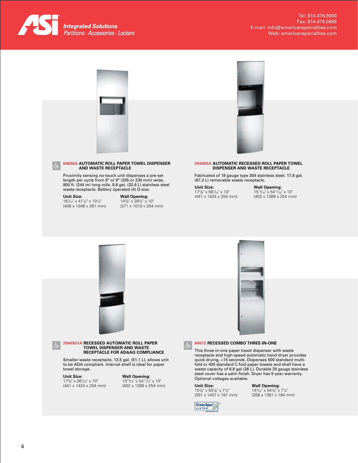



#### **64696A AUTOMATIC ROLL PAPER TOWEL DISPENSER AND WASTE RECEPTACLE**

Proximity sensing no-touch unit dispenses a pre-set length per cycle from 8" or 9" (205 or 230 mm) wide, 800 ft. (244 m) long rolls. 8.6 gal. (32.6 L) stainless steel waste receptacle. Battery operated (4) D-size.

#### **Unit Size:**   $16^{1}/_{16}$ " x  $41^{1}/_{4}$ " x  $10^{1}/_{4}$ " (408 x 1048 x 261 mm)

**Wall Opening:**<br>14<sup>5</sup>/8" x 39<sup>3</sup>/4" x 10" (371 x 1010 x 254 mm)



#### **204692A Automatic Recessed Roll Paper Towel Dispenser and Waste Receptacle**

Fabricated of 18 gauge type 304 stainless steel. 17.8 gal. (67.2 L) removable waste receptacle.

**Unit Size:**   $17\frac{3}{8}$ " x 56 $\frac{1}{16}$ " x 10" (441 x 1424 x 254 mm) **Wall Opening:** 1513/16" x 5411/16" x 10" (402 x 1389 x 254 mm)

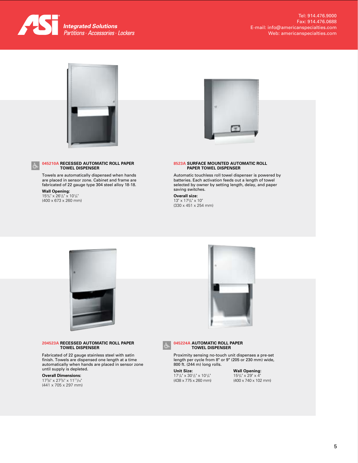

Tel: 914.476.9000 Fax: 914.476.0688 E-mail: info@americanspecialties.com Web: americanspecialties.com



## **045210A RECESSED AUTOMATIC ROLL PAPER TOWEL DISPENSER**

Towels are automatically dispensed when hands are placed in sensor zone. Cabinet and frame are fabricated of 22 gauge type 304 steel alloy 18-18.

**Wall Opening:**<br>153⁄4" x 26<sup>1</sup>/2" x 10<sup>1</sup>/4" (400 x 673 x 260 mm)



#### **8523A SURFACE MOUNTED AUTOMATIC ROLL PAPER TOWEL DISPENSER**

Automatic touchless roll towel dispenser is powered by batteries. Each activation feeds out a length of towel selected by owner by setting length, delay, and paper saving switches.

**Overall size:**  13" x 173 /4" x 10" (330 x 451 x 254 mm)



## **204523A Recessed Automatic Roll Paper Towel Dispenser**

Fabricated of 22 gauge stainless steel with satin finish. Towels are dispensed one length at a time automatically when hands are placed in sensor zone until supply is depleted. **Unit Size:** 

## **Overall Dimensions:**

 $17^{3}/_{8}$ "  $\times$   $27^{3}/_{4}$ "  $\times$   $11^{11}/_{16}$ " (441 x 705 x 297 mm)





## **045224A AUTOMATIC ROLL PAPER TOWEL DISPENSER**

Proximity sensing no-touch unit dispenses a pre-set length per cycle from 8" or 9" (205 or 230 mm) wide, 800 ft. (244 m) long rolls.

 $17^{1}/_{4}$ "  $\times$  30<sup>1</sup>/<sub>2</sub>"  $\times$  10<sup>1</sup>/<sub>4</sub>" (438 x 775 x 260 mm) **Wall Opening:**<br>153/<sub>4</sub>" x 29" x 4" (400 x 740 x 102 mm)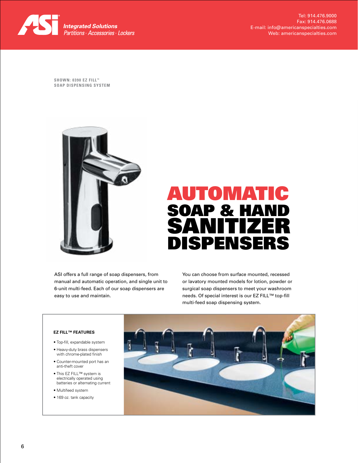

Tel: 914.476.9000 Fax: 914.476.0688 E-mail: info@americanspecialties.com Web: americanspecialties.com

**Shown: 0390 EZ Fill ™ Soap Dispensing System**



# Automatic SOAP & HAN Sanitizer Dispensers

ASI offers a full range of soap dispensers, from manual and automatic operation, and single unit to 6-unit multi-feed. Each of our soap dispensers are easy to use and maintain.

You can choose from surface mounted, recessed or lavatory mounted models for lotion, powder or surgical soap dispensers to meet your washroom needs. Of special interest is our EZ FILL™ top-fill multi-feed soap dispensing system.

## **EZ FILL™ Features**

- Top-fill, expandable system
- Heavy-duty brass dispensers with chrome-plated finish
- Counter-mounted port has an anti-theft cover
- This EZ Fill™ system is electrically operated using batteries or alternating current
- Multifeed system
- 169 oz. tank capacity

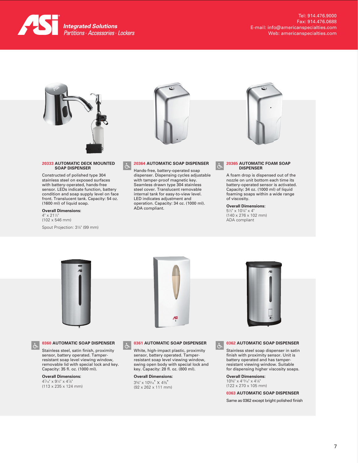

Tel: 914.476.9000 Fax: 914.476.0688 E-mail: info@americanspecialties.com Web: americanspecialties.com



#### **20333 AUTOMATIC DECK MOUNTED SOAP DISPENSER**

Constructed of polished type 304 stainless steel on exposed surfaces with battery-operated, hands-free sensor. LEDs indicate function, battery condition and soap supply level on face front. Translucent tank. Capacity: 54 oz. (1600 ml) of liquid soap.

## **Overall Dimensions:**

4" x 211 ⁄2" (102 x 546 mm) Spout Projection: 37 ⁄8" (99 mm)



#### **20364 AUTOMATIC SOAP DISPENSER**  $\dot{\sigma}$

Hands-free, battery-operated soap dispenser. Dispensing cycles adjustable with tamper-proof magnetic key. Seamless drawn type 304 stainless steel cover. Translucent removable internal tank for easy-to-view level. LED indicates adjustment and operation. Capacity: 34 oz. (1000 ml). ADA compliant.



#### **20365 AUTOMATIC FOAM SOAP DISPENSER**

A foam drop is dispensed out of the nozzle on unit bottom each time its battery-operated sensor is activated. Capacity: 34 oz. (1000 ml) of liquid foaming soaps within a wide range of viscosity.

## **Overall Dimensions:**

 $\dot{\sigma}$ 

51 ⁄2" x 107 ⁄8" x 4" (140 x 276 x 102 mm) ADA compliant







#### **0360 AUTOMATIC SOAP DISPENSER**

Stainless steel, satin finish, proximity sensor, battery operated. Tamperresistant soap level viewing window, removable lid with special lock and key. Capacity: 35 fl. oz. (1000 ml).

**Overall Dimensions:** 47 ⁄16" x 91 ⁄4" x 47 ⁄8" (113 x 235 x 124 mm)



White, high-impact plastic, proximity sensor, battery operated. Tamperresistant soap level viewing window, swing open body with special lock and key. Capacity: 28 fl. oz. (800 ml).

**Overall Dimensions:**   $3\%$ " x  $10\%$ <sup>"</sup> x  $4\%$ <sup>"</sup> (92 x 262 x 111 mm)



## **0362 AUTOMATIC SOAP DISPENSER**

Stainless steel soap dispenser in satin finish with proximity sensor. Unit is battery operated and has tamperresistant viewing window. Suitable for dispensing higher viscosity soaps.

**Overall Dimensions:**  105 ⁄8" x 413⁄16" x 41 ⁄8" (122 x 270 x 105 mm)

## **0363 AUTOMATIC SOAP DISPENSER**

Same as 0362 except bright polished finish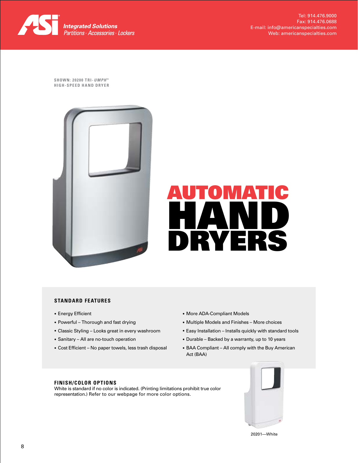

**Shown: 20200 T RI-***Umph* **™ High- Speed Hand Dryer**





## **Standard Features**

- Energy Efficient
- Powerful Thorough and fast drying
- Classic Styling Looks great in every washroom
- Sanitary All are no-touch operation
- Cost Efficient No paper towels, less trash disposal
- More ADA-Compliant Models
- Multiple Models and Finishes More choices
- Easy Installation Installs quickly with standard tools
- Durable Backed by a warranty, up to 10 years
- BAA Compliant All comply with the Buy American Act (BAA)

## **FINISH/COLOR OPTIONS**

White is standard if no color is indicated. (Printing limitations prohibit true color representation.) Refer to our webpage for more color options.



20201—White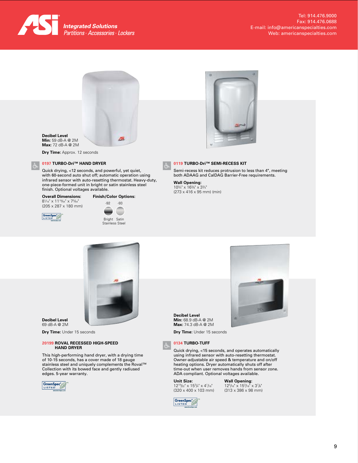



**Max:** 72 dB-A @ 2M

**Dry Time:** Approx. 12 seconds

## **0197 TURBO-Dri™ HAND DRYER**

Quick drying, <12 seconds, and powerful, yet quiet, with 60-second auto shut off; automatic operation using infrared sensor with auto-resetting thermostat. Heavy-duty, one-piece-formed unit in bright or satin stainless steel finish. Optional voltages available.

## **Overall Dimensions:**<br>81/<sub>16</sub>" x 11<sup>19</sup>/64" x 7<sup>5</sup>/64"

(205 x 287 x 180 mm)





**Finish/Color Options:**





## **0119 TURBO-Dri™ Semi-Recess Kit**

Semi-recess kit reduces protrusion to less than 4", meeting both ADAAG and CalDAG Barrier-Free requirements.

**Wall Opening:** 103 ⁄4" x 163 ⁄8" x 33 ⁄4" (273 x 416 x 95 mm) (min)



**Decibel Level** 69 dB-A @ 2M

**Dry Time:** Under 15 seconds

## **20199 Roval Recessed High-Speed Hand Dryer**

This high-performing hand dryer, with a drying time of 10-15 seconds, has a cover made of 18 gauge stainless steel and uniquely complements the Roval™ Collection with its bowed face and gently radiused edges. 5-year warranty.





**Dry Time:** Under 15 seconds

## **0134 TURBO-TUFF**

Quick drying, <15 seconds, and operates automatically using infrared sensor with auto-resetting thermostat. Owner-adjustable air speed & temperature and on/off heating options. Dryer automatically shuts off after time-out when user removes hands from sensor zone. ADA compliant. Optional voltages available.

**Unit Size:**   $12^{19}/_{32}$ " x  $15^{3}/_{4}$ " x  $4^{1}/_{16}$ " (320 x 400 x 103 mm) **Wall Opening:**  $12^{5}/_{16}$ " x  $15^{3}/_{16}$ " x  $3^{7}/_{8}$ " (313 x 386 x 98 mm)

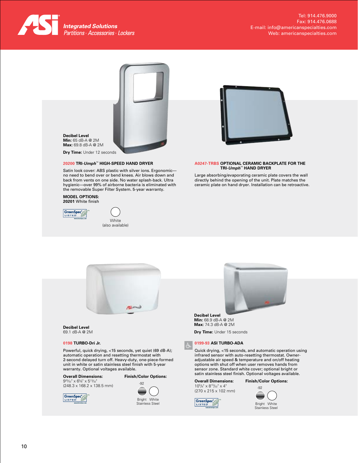



## **20200 TRI-***Umph*™ **High-Speed Hand Dryer**

Satin look cover: ABS plastic with silver ions. Ergonomic no need to bend over or bend knees. Air blows down and back from vents on one side. No water splash-back. Ultra hygienic—over 99% of airborne bacteria is eliminated with the removable Super Filter System. 5-year warranty.

#### **Model Options: 20201** White finish







#### **A0247-TRBS Optional Ceramic Backplate for the TRI-***Umph*™ **Hand Dryer**

Large absorbing/evaporating ceramic plate covers the wall directly behind the opening of the unit. Plate matches the ceramic plate on hand dryer. Installation can be retroactive.



#### **Decibel Level** 69.1 dB-A @ 2M

### **0198 TURBO-Dri Jr.**

Powerful, quick drying, <15 seconds, yet quiet (69 dB-A); automatic operation and resetting thermostat with 2-second delayed turn off. Heavy-duty, one-piece-formed unit in white or satin stainless steel finish with 5-year warranty. Optional voltages available.

## **Overall Dimensions: Finish/Color Options:**

GreenSpec<sup>o</sup>

925⁄32" x 65 ⁄8" x 513⁄32" (248.3 x 168.2 x 138.5 mm)



Stainless Steel



## **Decibel Level**

**Min:** 68.9 dB-A @ 2M **Max:** 74.3 dB-A @ 2M

**Dry Time:** Under 15 seconds

## **0199-93 ASI TURBO-ADA**

Quick drying, <15 seconds, and automatic operation using infrared sensor with auto-resetting thermostat. Owneradjustable air speed & temperature and on/off heating options with shut off when user removes hands from sensor zone. Standard white cover; optional bright or satin stainless steel finish. Optional voltages available.

**Overall Dimensions:** 105 /8" x 815/32" x 4" (270 x 215 x 102 mm)



**Finish/Color Options:** -92

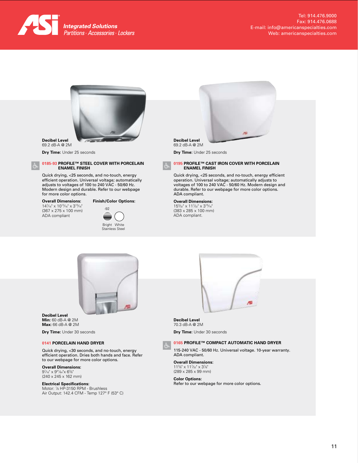



#### **Decibel Level** 69.2 dB-A @ 2M

**Dry Time:** Under 25 seconds

#### **0185-93 PROFILE™ STEEL COVER WITH PORCELAIN ENAMEL FINISH**

Quick drying, <25 seconds, and no-touch, energy efficient operation. Universal voltage; automatically adjusts to voltages of 100 to 240 VAC - 50/60 Hz. Modern design and durable. Refer to our webpage for more color options.

## **Overall Dimensions:**

147 ⁄16" x 1013⁄16" x 315⁄16" (367 x 275 x 100 mm) ADA compliant



**Decibel Level** 69.2 dB-A @ 2M

**Dry Time:** Under 25 seconds

#### **0195 PROFILE™ CAST IRON COVER WITH PORCELAIN ENAMEL FINISH**

Quick drying, <25 seconds, and no-touch, energy efficient operation. Universal voltage; automatically adjusts to voltages of 100 to 240 VAC - 50/60 Hz. Modern design and durable. Refer to our webpage for more color options. ADA compliant.

## **Overall Dimensions:**

153 ⁄32" x 117 ⁄32" x 315⁄16" (383 x 285 x 100 mm) ADA compliant.



**Decibel Level Min:** 60 dB-A @ 2M **Max:** 66 dB-A @ 2M

**Dry Time:** Under 30 seconds

### **0141 Porcelain Hand Dryer**

Quick drying, <30 seconds, and no-touch, energy efficient operation. Dries both hands and face. Refer to our webpage for more color options.

**Overall Dimensions:** 97 ⁄16" x 941⁄64"x 63 ⁄8" (240 x 245 x 162 mm)

**Electrical Specifications:**<br>Motor: ½ HP-3150 RPM - Brushless Air Output: 142.4 CFM - Temp 127° F (53° C)



**Decibel Level** 70.3 dB-A @ 2M **Dry Time:** Under 30 seconds

#### **0165 PROFILE™ COMPACT AUTOMATIC HAND DRYER**

115-240 VAC - 50/60 Hz. Universal voltage. 10-year warranty. ADA compliant.

**Overall Dimensions:** 113 ⁄8" x 117 ⁄32" x 37 ⁄8" (289 x 285 x 99 mm)

**Color Options:** Refer to our webpage for more color options.